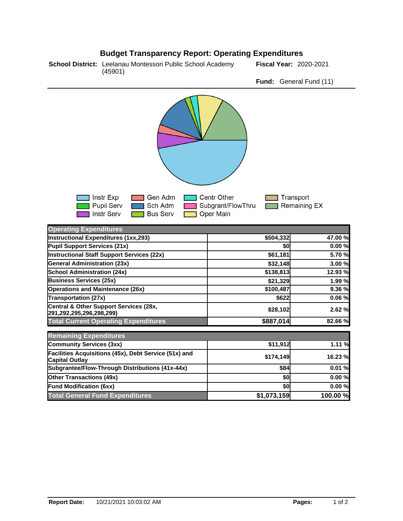## **Budget Transparency Report: Operating Expenditures**

**School District:** Leelanau Montessori Public School Academy Fiscal Year: 2020-2021 (45901)

**Fund:** General Fund (11)



| Operating Experiments                                                          |             |          |
|--------------------------------------------------------------------------------|-------------|----------|
| Instructional Expenditures (1xx,293)                                           | \$504,332   | 47.00 %  |
| Pupil Support Services (21x)                                                   | \$0         | 0.00%    |
| <b>Instructional Staff Support Services (22x)</b>                              | \$61,181    | 5.70 %   |
| <b>General Administration (23x)</b>                                            | \$32,148    | 3.00 %   |
| <b>School Administration (24x)</b>                                             | \$138,813   | 12.93 %  |
| <b>Business Services (25x)</b>                                                 | \$21,329    | 1.99 %   |
| <b>Operations and Maintenance (26x)</b>                                        | \$100,487   | 9.36%    |
| Transportation (27x)                                                           | \$622       | 0.06%    |
| Central & Other Support Services (28x,<br>291,292,295,296,298,299)             | \$28,102    | 2.62%    |
| <b>Total Current Operating Expenditures</b>                                    | \$887,014   | 82.66 %  |
| <b>Remaining Expenditures</b>                                                  |             |          |
| Community Services (3xx)                                                       | \$11,912    | 1.11 %   |
| Facilities Acquisitions (45x), Debt Service (51x) and<br><b>Capital Outlay</b> | \$174,149   | 16.23 %  |
| Subgrantee/Flow-Through Distributions (41x-44x)                                | \$84        | 0.01%    |
| <b>Other Transactions (49x)</b>                                                | \$0         | 0.00%    |
| <b>Fund Modification (6xx)</b>                                                 | \$0         | 0.00%    |
| <b>Total General Fund Expenditures</b>                                         | \$1,073,159 | 100.00 % |